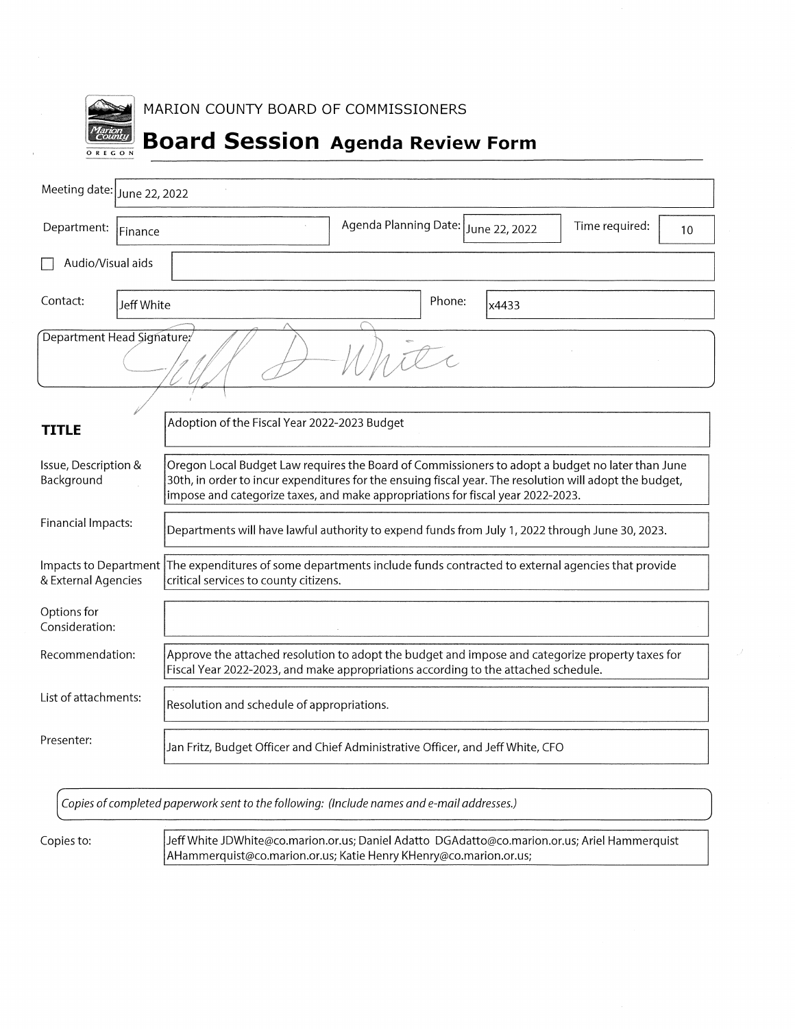

MARION COUNTY BOARD OF COMMISSIONERS

# **Board Session Agenda Review Form**

| Meeting date:<br>June 22, 2022     |                                                                                                                                                                                                                                                                                                |
|------------------------------------|------------------------------------------------------------------------------------------------------------------------------------------------------------------------------------------------------------------------------------------------------------------------------------------------|
| Department:<br>Finance             | Agenda Planning Date: June 22, 2022<br>Time required:<br>10                                                                                                                                                                                                                                    |
| Audio/Visual aids                  |                                                                                                                                                                                                                                                                                                |
| Contact:<br>Jeff White             | Phone:<br>x4433                                                                                                                                                                                                                                                                                |
| Department Head Signature/         | 1701                                                                                                                                                                                                                                                                                           |
| TITLE                              | Adoption of the Fiscal Year 2022-2023 Budget                                                                                                                                                                                                                                                   |
| Issue, Description &<br>Background | Oregon Local Budget Law requires the Board of Commissioners to adopt a budget no later than June<br>30th, in order to incur expenditures for the ensuing fiscal year. The resolution will adopt the budget,<br>impose and categorize taxes, and make appropriations for fiscal year 2022-2023. |
| Financial Impacts:                 | Departments will have lawful authority to expend funds from July 1, 2022 through June 30, 2023.                                                                                                                                                                                                |
| & External Agencies                | Impacts to Department The expenditures of some departments include funds contracted to external agencies that provide<br>critical services to county citizens.                                                                                                                                 |
| Options for<br>Consideration:      |                                                                                                                                                                                                                                                                                                |
| Recommendation:                    | Approve the attached resolution to adopt the budget and impose and categorize property taxes for<br>Fiscal Year 2022-2023, and make appropriations according to the attached schedule.                                                                                                         |
| List of attachments:               | Resolution and schedule of appropriations.                                                                                                                                                                                                                                                     |
| Presenter:                         | Jan Fritz, Budget Officer and Chief Administrative Officer, and Jeff White, CFO                                                                                                                                                                                                                |

Copies of completed paperwork sent to the following: (Include names and e-mail addresses.)

Copies to:

Jeff White JDWhite@co.marion.or.us; Daniel Adatto DGAdatto@co.marion.or.us; Ariel Hammerquist AHammerquist@co.marion.or.us; Katie Henry KHenry@co.marion.or.us;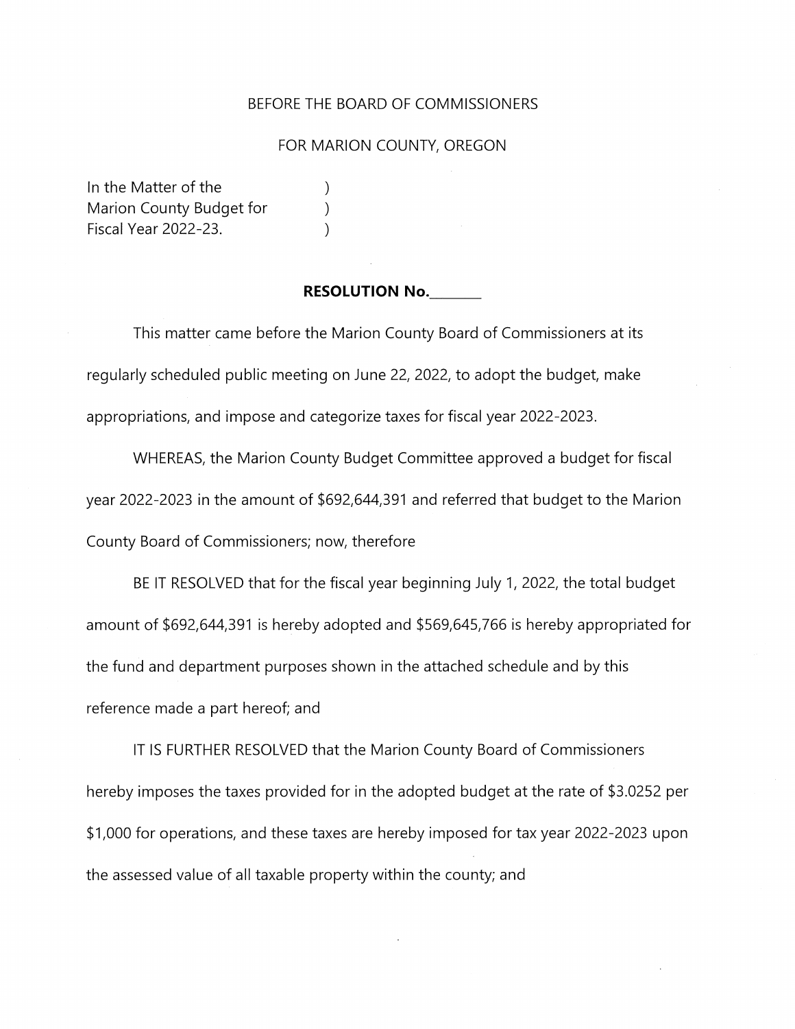#### BEFORE THE BOARD OF COMMISSIONERS

#### FOR MARION COUNTY, OREGON

In the Matter of the Marion County Budget for **Fiscal Year 2022-23.** 

#### **RESOLUTION No.**

 $\mathcal{E}$ 

 $\mathcal{E}$ 

 $\mathcal{E}$ 

This matter came before the Marion County Board of Commissioners at its regularly scheduled public meeting on June 22, 2022, to adopt the budget, make appropriations, and impose and categorize taxes for fiscal year 2022-2023.

WHEREAS, the Marion County Budget Committee approved a budget for fiscal year 2022-2023 in the amount of \$692,644,391 and referred that budget to the Marion County Board of Commissioners; now, therefore

BE IT RESOLVED that for the fiscal year beginning July 1, 2022, the total budget amount of \$692,644,391 is hereby adopted and \$569,645,766 is hereby appropriated for the fund and department purposes shown in the attached schedule and by this reference made a part hereof; and

IT IS FURTHER RESOLVED that the Marion County Board of Commissioners hereby imposes the taxes provided for in the adopted budget at the rate of \$3.0252 per \$1,000 for operations, and these taxes are hereby imposed for tax year 2022-2023 upon the assessed value of all taxable property within the county; and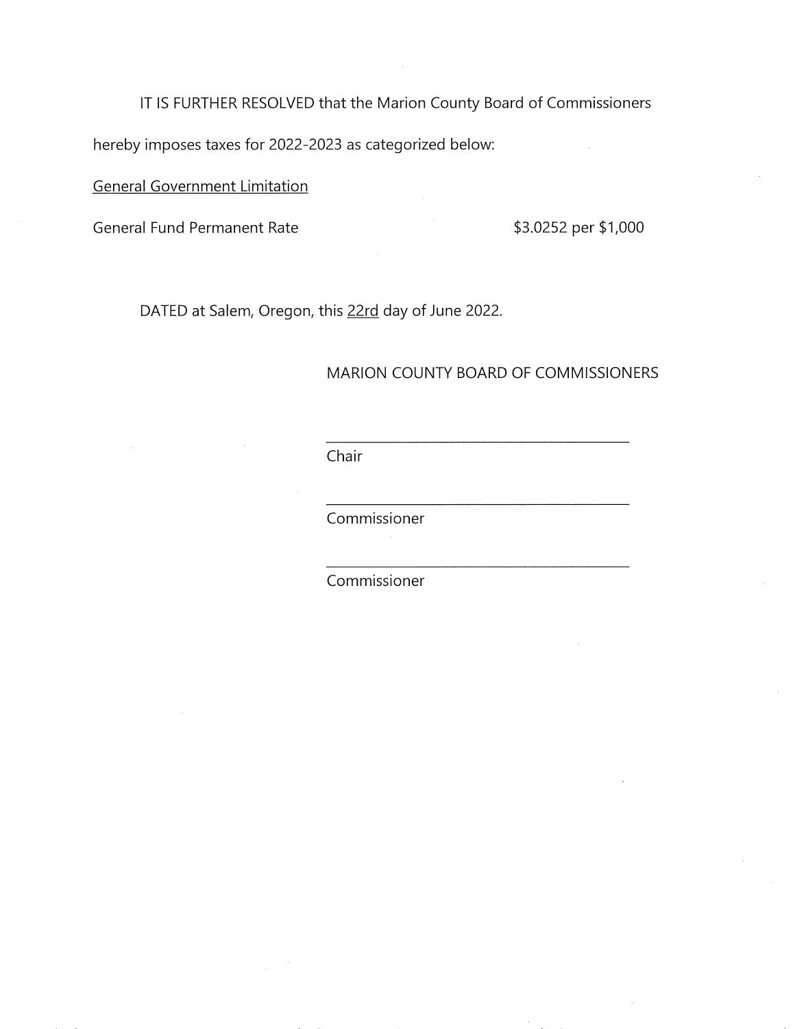IT IS FURTHER RESOLVED that the Marion County Board of Commissioners hereby imposes taxes for 2022-2023 as categorized below:

**General Government Limitation** 

**General Fund Permanent Rate** 

\$3.0252 per \$1,000

DATED at Salem, Oregon, this 22rd day of June 2022.

#### MARION COUNTY BOARD OF COMMISSIONERS

Chair

Commissioner

Commissioner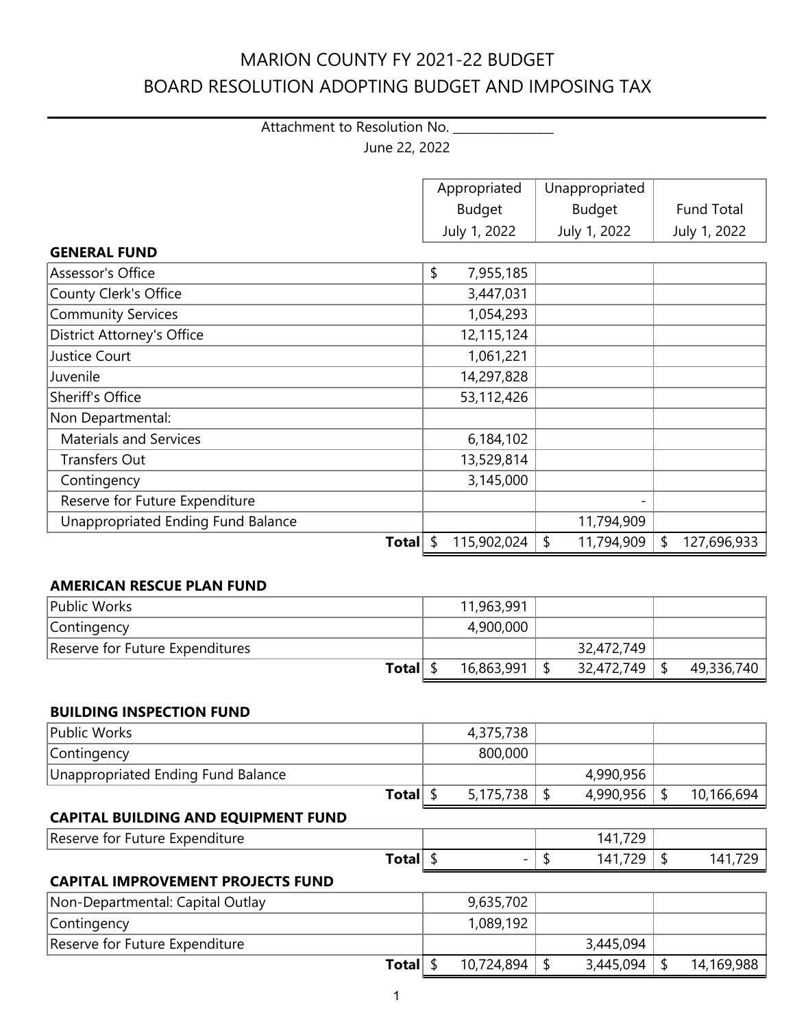## Attachment to Resolution No. \_\_\_\_\_\_\_\_\_\_\_\_\_ June 22, 2022

|                                    | Appropriated      | Unappropriated   |                   |
|------------------------------------|-------------------|------------------|-------------------|
|                                    | <b>Budget</b>     | <b>Budget</b>    | <b>Fund Total</b> |
|                                    | July 1, 2022      | July 1, 2022     | July 1, 2022      |
| <b>GENERAL FUND</b>                |                   |                  |                   |
| Assessor's Office                  | \$<br>7,955,185   |                  |                   |
| County Clerk's Office              | 3,447,031         |                  |                   |
| Community Services                 | 1,054,293         |                  |                   |
| <b>District Attorney's Office</b>  | 12,115,124        |                  |                   |
| Justice Court                      | 1,061,221         |                  |                   |
| Juvenile                           | 14,297,828        |                  |                   |
| Sheriff's Office                   | 53,112,426        |                  |                   |
| Non Departmental:                  |                   |                  |                   |
| <b>Materials and Services</b>      | 6,184,102         |                  |                   |
| <b>Transfers Out</b>               | 13,529,814        |                  |                   |
| Contingency                        | 3,145,000         |                  |                   |
| Reserve for Future Expenditure     |                   |                  |                   |
| Unappropriated Ending Fund Balance |                   | 11,794,909       |                   |
| <b>Total</b>                       | \$<br>115,902,024 | \$<br>11,794,909 | \$<br>127,696,933 |

#### **AMERICAN RESCUE PLAN FUND**

| Public Works                    | 11,963,991 |            |            |
|---------------------------------|------------|------------|------------|
| Contingency                     | 4,900,000  |            |            |
| Reserve for Future Expenditures |            | 32,472,749 |            |
| <b>Total</b>                    | 16,863,991 | 32,472,749 | 49,336,740 |

#### **BUILDING INSPECTION FUND**

| Public Works                               |  | 4,375,738 |           |            |
|--------------------------------------------|--|-----------|-----------|------------|
| Contingency                                |  | 800,000   |           |            |
| Unappropriated Ending Fund Balance         |  |           | 4,990,956 |            |
| <b>Total</b>                               |  | 5,175,738 | 4,990,956 | 10,166,694 |
| <b>CAPITAL BUILDING AND EQUIPMENT FUND</b> |  |           |           |            |
| Reserve for Future Expenditure             |  |           | 141,729   |            |

## **CAPITAL IMPROVEMENT PROJECTS FUND**

| Non-Departmental: Capital Outlay | 9,635,702  |           |            |
|----------------------------------|------------|-----------|------------|
| Contingency                      | 1,089,192  |           |            |
| Reserve for Future Expenditure   |            | 3,445,094 |            |
| <b>Total</b>                     | 10,724,894 | 3,445,094 | 14,169,988 |

**Total** \$  $-$  \$ 141,729 \$ 141,729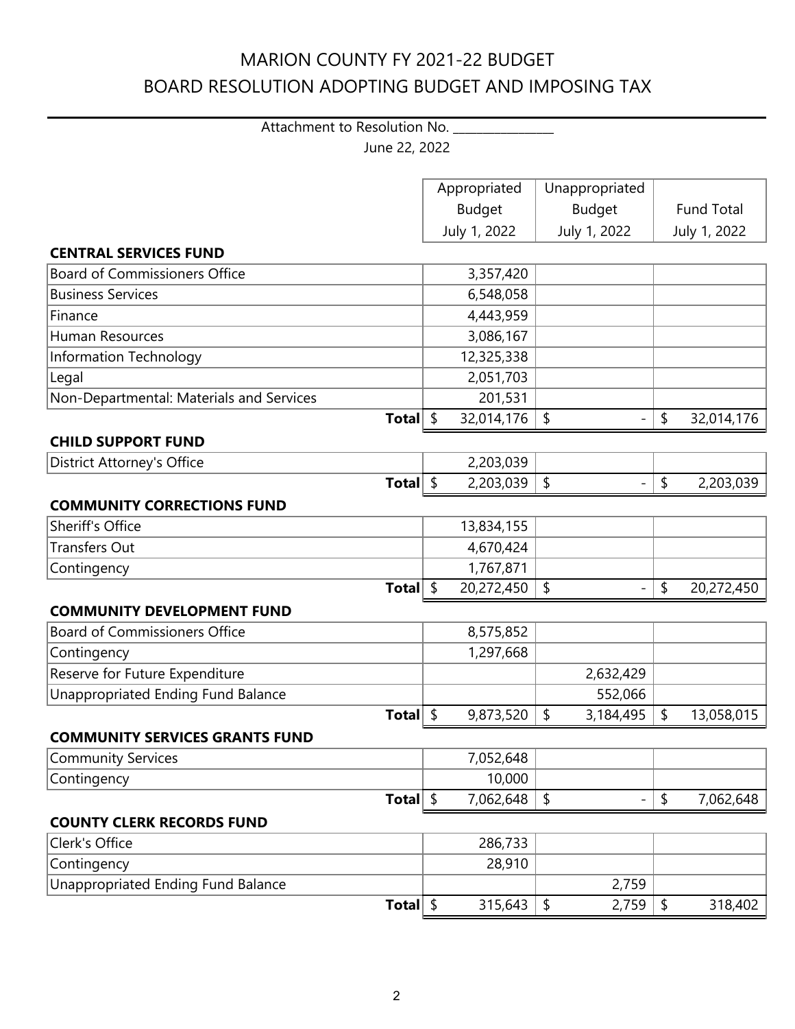## Attachment to Resolution No. \_\_\_\_\_\_\_\_\_\_\_\_\_\_\_\_ June 22, 2022

|                                           | Appropriated     | Unappropriated  |               |                   |
|-------------------------------------------|------------------|-----------------|---------------|-------------------|
|                                           | <b>Budget</b>    | <b>Budget</b>   |               | <b>Fund Total</b> |
|                                           | July 1, 2022     | July 1, 2022    |               | July 1, 2022      |
| <b>CENTRAL SERVICES FUND</b>              |                  |                 |               |                   |
| <b>Board of Commissioners Office</b>      | 3,357,420        |                 |               |                   |
| <b>Business Services</b>                  | 6,548,058        |                 |               |                   |
| Finance                                   | 4,443,959        |                 |               |                   |
| <b>Human Resources</b>                    | 3,086,167        |                 |               |                   |
| Information Technology                    | 12,325,338       |                 |               |                   |
| Legal                                     | 2,051,703        |                 |               |                   |
| Non-Departmental: Materials and Services  | 201,531          |                 |               |                   |
| Total $\frac{1}{2}$                       | 32,014,176       | \$              | \$            | 32,014,176        |
| <b>CHILD SUPPORT FUND</b>                 |                  |                 |               |                   |
| <b>District Attorney's Office</b>         | 2,203,039        |                 |               |                   |
| Total $\frac{1}{2}$                       | 2,203,039        | \$              | $\frac{1}{2}$ | 2,203,039         |
| <b>COMMUNITY CORRECTIONS FUND</b>         |                  |                 |               |                   |
| <b>Sheriff's Office</b>                   | 13,834,155       |                 |               |                   |
| <b>Transfers Out</b>                      | 4,670,424        |                 |               |                   |
| Contingency                               | 1,767,871        |                 |               |                   |
| <b>Total</b>                              | \$<br>20,272,450 | \$              | \$            | 20,272,450        |
| <b>COMMUNITY DEVELOPMENT FUND</b>         |                  |                 |               |                   |
| <b>Board of Commissioners Office</b>      | 8,575,852        |                 |               |                   |
| Contingency                               | 1,297,668        |                 |               |                   |
| Reserve for Future Expenditure            |                  | 2,632,429       |               |                   |
| <b>Unappropriated Ending Fund Balance</b> |                  | 552,066         |               |                   |
| Total $\frac{1}{2}$                       | 9,873,520        | \$<br>3,184,495 | \$            | 13,058,015        |
| <b>COMMUNITY SERVICES GRANTS FUND</b>     |                  |                 |               |                   |
| Community Services                        | 7,052,648        |                 |               |                   |
| Contingency                               | 10,000           |                 |               |                   |
| Total $\frac{1}{2}$                       | 7,062,648        | \$              | \$            | 7,062,648         |
| <b>COUNTY CLERK RECORDS FUND</b>          |                  |                 |               |                   |
| Clerk's Office                            | 286,733          |                 |               |                   |
| Contingency                               | 28,910           |                 |               |                   |
| Unappropriated Ending Fund Balance        |                  | 2,759           |               |                   |
| Total $\frac{1}{2}$                       | 315,643          | \$<br>2,759     | \$            | 318,402           |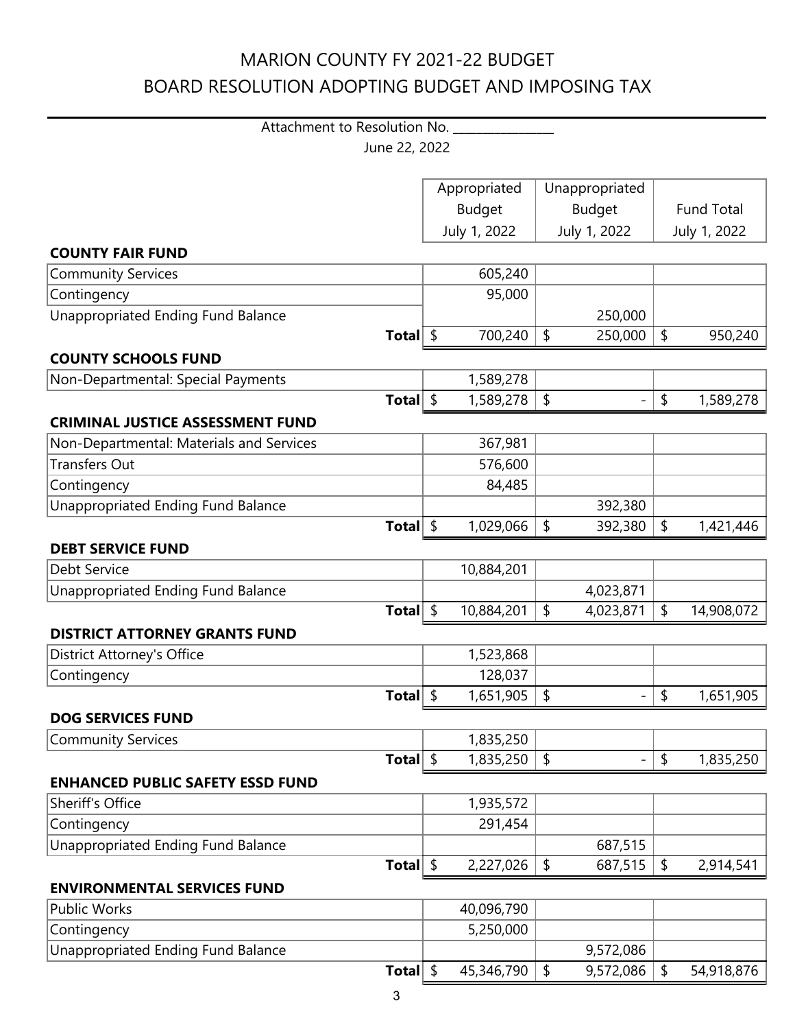## Attachment to Resolution No. \_\_\_\_\_\_\_\_\_\_\_\_\_\_\_\_ June 22, 2022

|                                           | Appropriated  | Unappropriated |               |                            |              |
|-------------------------------------------|---------------|----------------|---------------|----------------------------|--------------|
|                                           | <b>Budget</b> |                | <b>Budget</b> | <b>Fund Total</b>          |              |
|                                           | July 1, 2022  |                | July 1, 2022  |                            | July 1, 2022 |
| <b>COUNTY FAIR FUND</b>                   |               |                |               |                            |              |
|                                           | 605,240       |                |               |                            |              |
| <b>Community Services</b>                 |               |                |               |                            |              |
| Contingency                               | 95,000        |                |               |                            |              |
| Unappropriated Ending Fund Balance        |               |                | 250,000       |                            |              |
| Total $\frac{1}{2}$                       | 700,240       | $\frac{1}{2}$  | 250,000       | $\frac{1}{2}$              | 950,240      |
| <b>COUNTY SCHOOLS FUND</b>                |               |                |               |                            |              |
| Non-Departmental: Special Payments        | 1,589,278     |                |               |                            |              |
| Total $\frac{1}{2}$                       | 1,589,278     | \$             |               | $\boldsymbol{\mathsf{\$}}$ | 1,589,278    |
| <b>CRIMINAL JUSTICE ASSESSMENT FUND</b>   |               |                |               |                            |              |
| Non-Departmental: Materials and Services  | 367,981       |                |               |                            |              |
| <b>Transfers Out</b>                      | 576,600       |                |               |                            |              |
| Contingency                               | 84,485        |                |               |                            |              |
| Unappropriated Ending Fund Balance        |               |                | 392,380       |                            |              |
| Total $\frac{1}{2}$                       | 1,029,066     | \$             | 392,380       | \$                         | 1,421,446    |
| <b>DEBT SERVICE FUND</b>                  |               |                |               |                            |              |
| <b>Debt Service</b>                       | 10,884,201    |                |               |                            |              |
| Unappropriated Ending Fund Balance        |               |                | 4,023,871     |                            |              |
| Total $\frac{1}{2}$                       | 10,884,201    | $\frac{1}{2}$  | 4,023,871     | \$                         | 14,908,072   |
| <b>DISTRICT ATTORNEY GRANTS FUND</b>      |               |                |               |                            |              |
| <b>District Attorney's Office</b>         | 1,523,868     |                |               |                            |              |
| Contingency                               | 128,037       |                |               |                            |              |
| Total $\frac{1}{2}$                       | 1,651,905     | \$             |               | \$                         | 1,651,905    |
| <b>DOG SERVICES FUND</b>                  |               |                |               |                            |              |
| <b>Community Services</b>                 | 1,835,250     |                |               |                            |              |
| Total $ \;$ \$                            | 1,835,250     | $\vert$ \$     |               | $\sqrt{2}$                 | 1,835,250    |
| <b>ENHANCED PUBLIC SAFETY ESSD FUND</b>   |               |                |               |                            |              |
| Sheriff's Office                          | 1,935,572     |                |               |                            |              |
| Contingency                               | 291,454       |                |               |                            |              |
| Unappropriated Ending Fund Balance        |               |                | 687,515       |                            |              |
| Total $\frac{1}{2}$                       | 2,227,026     | \$             | 687,515       | \$                         | 2,914,541    |
| <b>ENVIRONMENTAL SERVICES FUND</b>        |               |                |               |                            |              |
| <b>Public Works</b>                       | 40,096,790    |                |               |                            |              |
| Contingency                               | 5,250,000     |                |               |                            |              |
| <b>Unappropriated Ending Fund Balance</b> |               |                | 9,572,086     |                            |              |
| Total $\frac{1}{2}$                       | 45,346,790    | \$             | 9,572,086     | \$                         | 54,918,876   |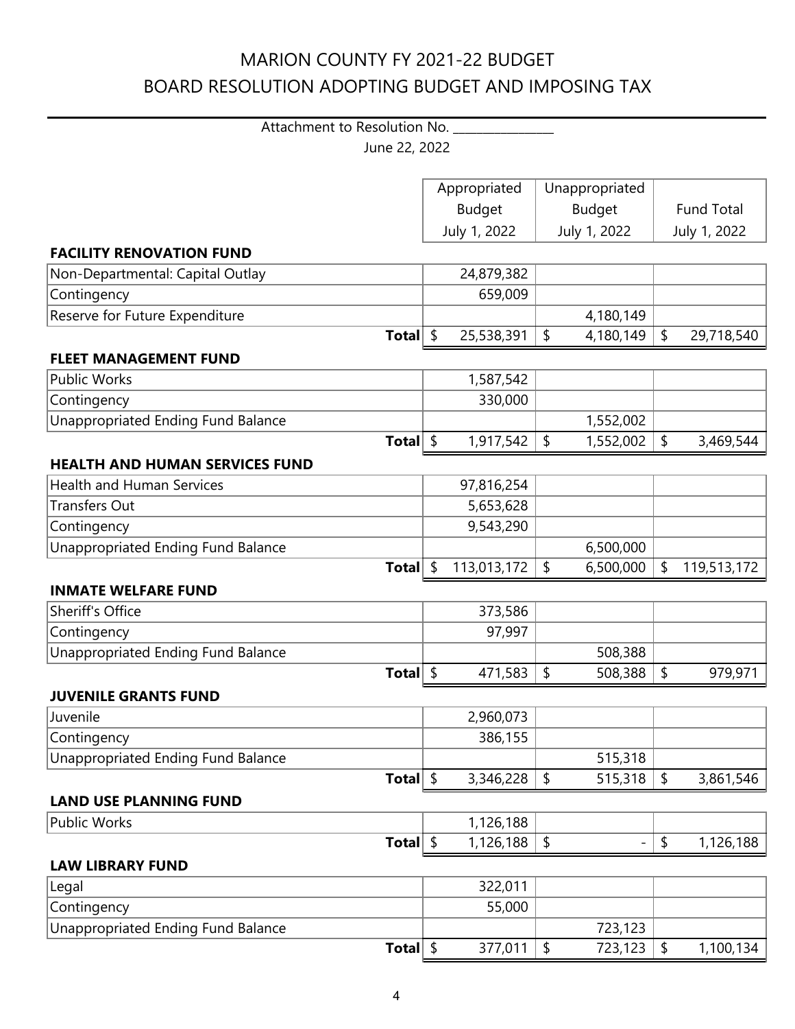## Attachment to Resolution No. \_\_\_\_\_\_\_\_\_\_\_\_\_\_\_\_ June 22, 2022

|                                           | Appropriated  | Unappropriated |               |                   |              |
|-------------------------------------------|---------------|----------------|---------------|-------------------|--------------|
|                                           | <b>Budget</b> |                | <b>Budget</b> | <b>Fund Total</b> |              |
|                                           | July 1, 2022  |                | July 1, 2022  |                   | July 1, 2022 |
| <b>FACILITY RENOVATION FUND</b>           |               |                |               |                   |              |
| Non-Departmental: Capital Outlay          | 24,879,382    |                |               |                   |              |
| Contingency                               | 659,009       |                |               |                   |              |
| Reserve for Future Expenditure            |               |                | 4,180,149     |                   |              |
| Total $\frac{1}{2}$                       | 25,538,391    | \$             | 4,180,149     | \$                | 29,718,540   |
| <b>FLEET MANAGEMENT FUND</b>              |               |                |               |                   |              |
| <b>Public Works</b>                       | 1,587,542     |                |               |                   |              |
| Contingency                               | 330,000       |                |               |                   |              |
| <b>Unappropriated Ending Fund Balance</b> |               |                | 1,552,002     |                   |              |
| Total $\frac{1}{2}$                       | 1,917,542     | \$             | 1,552,002     | \$                | 3,469,544    |
| <b>HEALTH AND HUMAN SERVICES FUND</b>     |               |                |               |                   |              |
| <b>Health and Human Services</b>          | 97,816,254    |                |               |                   |              |
| <b>Transfers Out</b>                      | 5,653,628     |                |               |                   |              |
| Contingency                               | 9,543,290     |                |               |                   |              |
| <b>Unappropriated Ending Fund Balance</b> |               |                | 6,500,000     |                   |              |
| Total $\frac{1}{2}$                       | 113,013,172   | \$             | 6,500,000     | \$                | 119,513,172  |
| <b>INMATE WELFARE FUND</b>                |               |                |               |                   |              |
| <b>Sheriff's Office</b>                   | 373,586       |                |               |                   |              |
| Contingency                               | 97,997        |                |               |                   |              |
| Unappropriated Ending Fund Balance        |               |                | 508,388       |                   |              |
| Total $\frac{1}{2}$                       | 471,583       | $\frac{1}{2}$  | 508,388       | \$                | 979,971      |
| <b>JUVENILE GRANTS FUND</b>               |               |                |               |                   |              |
| Juvenile                                  | 2,960,073     |                |               |                   |              |
| Contingency                               | 386,155       |                |               |                   |              |
| <b>Unappropriated Ending Fund Balance</b> |               |                | 515,318       |                   |              |
| Total $\frac{1}{2}$                       | 3,346,228     | \$             | 515,318       | $\frac{1}{2}$     | 3,861,546    |
| <b>LAND USE PLANNING FUND</b>             |               |                |               |                   |              |
| <b>Public Works</b>                       | 1,126,188     |                |               |                   |              |
| Total $\frac{1}{2}$                       | 1,126,188     | \$             |               | \$                | 1,126,188    |
| <b>LAW LIBRARY FUND</b>                   |               |                |               |                   |              |
| Legal                                     | 322,011       |                |               |                   |              |
| Contingency                               | 55,000        |                |               |                   |              |
| Unappropriated Ending Fund Balance        |               |                | 723,123       |                   |              |
| Total $\frac{1}{2}$                       | 377,011       | \$             | 723,123       | \$                | 1,100,134    |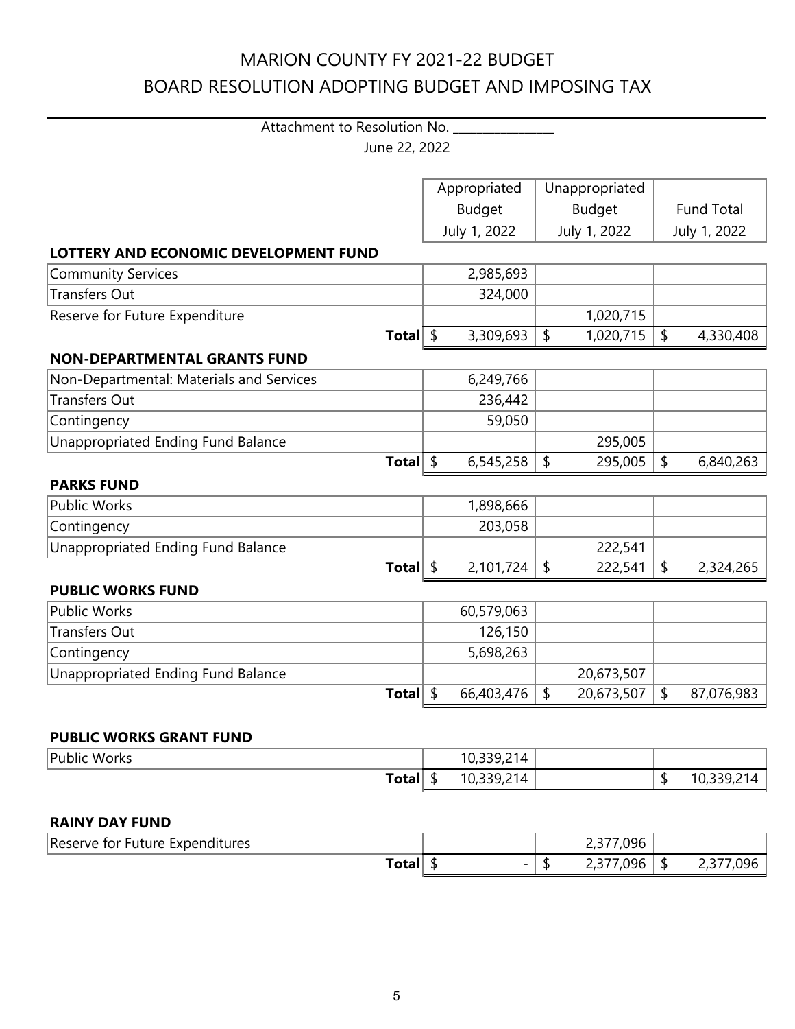## Attachment to Resolution No. \_\_\_\_\_\_\_\_\_\_\_\_\_\_\_\_ June 22, 2022

|                                           | Appropriated  | Unappropriated |               |    |                   |  |              |
|-------------------------------------------|---------------|----------------|---------------|----|-------------------|--|--------------|
|                                           | <b>Budget</b> |                | <b>Budget</b> |    | <b>Fund Total</b> |  |              |
|                                           | July 1, 2022  |                | July 1, 2022  |    |                   |  | July 1, 2022 |
| LOTTERY AND ECONOMIC DEVELOPMENT FUND     |               |                |               |    |                   |  |              |
| <b>Community Services</b>                 | 2,985,693     |                |               |    |                   |  |              |
| <b>Transfers Out</b>                      | 324,000       |                |               |    |                   |  |              |
| Reserve for Future Expenditure            |               |                | 1,020,715     |    |                   |  |              |
| Total $\frac{1}{2}$                       | 3,309,693     | $\sqrt{2}$     | 1,020,715     | \$ | 4,330,408         |  |              |
| <b>NON-DEPARTMENTAL GRANTS FUND</b>       |               |                |               |    |                   |  |              |
| Non-Departmental: Materials and Services  | 6,249,766     |                |               |    |                   |  |              |
| <b>Transfers Out</b>                      | 236,442       |                |               |    |                   |  |              |
| Contingency                               | 59,050        |                |               |    |                   |  |              |
| <b>Unappropriated Ending Fund Balance</b> |               |                | 295,005       |    |                   |  |              |
| Total $\frac{1}{2}$                       | 6,545,258     | $\sqrt{2}$     | 295,005       | \$ | 6,840,263         |  |              |
| <b>PARKS FUND</b>                         |               |                |               |    |                   |  |              |
| <b>Public Works</b>                       | 1,898,666     |                |               |    |                   |  |              |
| Contingency                               | 203,058       |                |               |    |                   |  |              |
| Unappropriated Ending Fund Balance        |               |                | 222,541       |    |                   |  |              |
| Total $\frac{1}{2}$                       | 2,101,724     | $\sqrt{2}$     | 222,541       | \$ | 2,324,265         |  |              |
| <b>PUBLIC WORKS FUND</b>                  |               |                |               |    |                   |  |              |
| <b>Public Works</b>                       | 60,579,063    |                |               |    |                   |  |              |
| <b>Transfers Out</b>                      | 126,150       |                |               |    |                   |  |              |
| Contingency                               | 5,698,263     |                |               |    |                   |  |              |
| Unappropriated Ending Fund Balance        |               |                | 20,673,507    |    |                   |  |              |
| Total $\frac{1}{2}$                       | 66,403,476    | $\sqrt{2}$     | 20,673,507    | \$ | 87,076,983        |  |              |
|                                           |               |                |               |    |                   |  |              |
| <b>PUBLIC WORKS GRANT FUND</b>            |               |                |               |    |                   |  |              |
| <b>Public Works</b>                       | 10,339,214    |                |               |    |                   |  |              |
| Total $\frac{1}{2}$                       | 10,339,214    |                |               | \$ | 10,339,214        |  |              |
|                                           |               |                |               |    |                   |  |              |

#### **RAINY DAY FUND**

| Reserve<br><b>Expenditures</b><br>tor<br>Future |                          | 7,096<br>---    |     |              |
|-------------------------------------------------|--------------------------|-----------------|-----|--------------|
| ~÷~!<br>væ                                      | $\overline{\phantom{0}}$ | ,096<br><u></u> | - 1 | 196<br>- - - |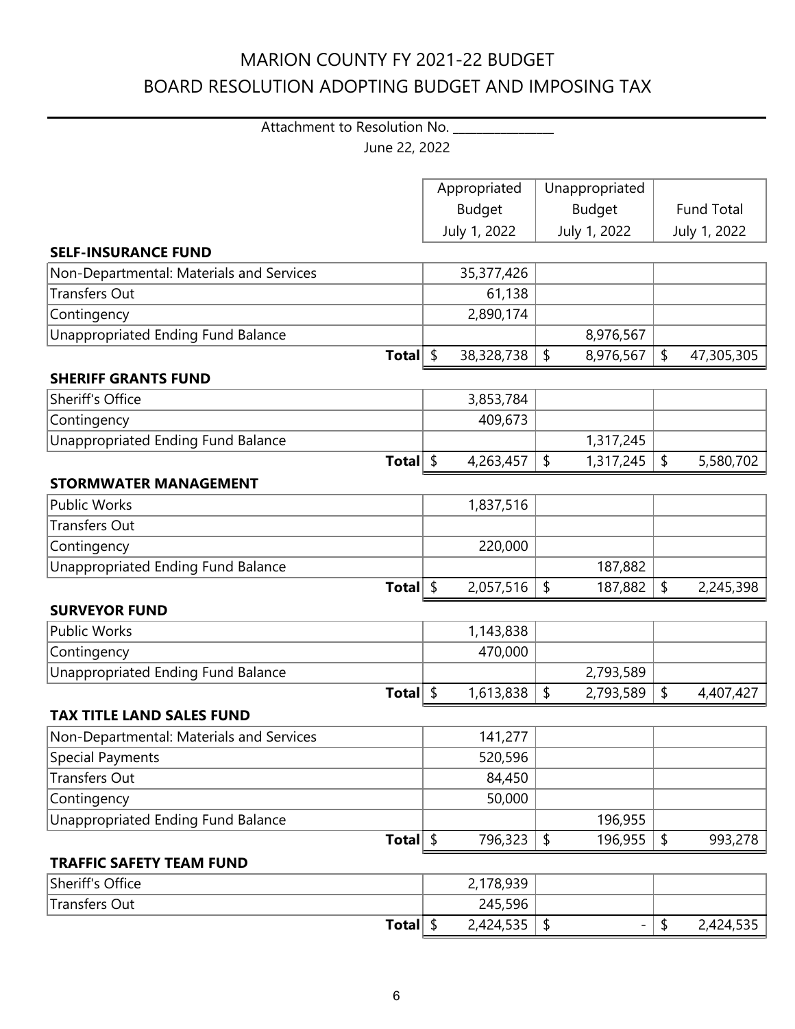## Attachment to Resolution No. \_\_\_\_\_\_\_\_\_\_\_\_\_\_\_\_\_ June 22, 2022

|                                           |                     | Appropriated     | Unappropriated             |                     |              |
|-------------------------------------------|---------------------|------------------|----------------------------|---------------------|--------------|
|                                           |                     | <b>Budget</b>    | <b>Budget</b>              | <b>Fund Total</b>   |              |
|                                           |                     | July 1, 2022     | July 1, 2022               |                     | July 1, 2022 |
| <b>SELF-INSURANCE FUND</b>                |                     |                  |                            |                     |              |
| Non-Departmental: Materials and Services  |                     | 35,377,426       |                            |                     |              |
| <b>Transfers Out</b>                      |                     | 61,138           |                            |                     |              |
| Contingency                               |                     | 2,890,174        |                            |                     |              |
| Unappropriated Ending Fund Balance        |                     |                  | 8,976,567                  |                     |              |
|                                           | Total $\frac{1}{2}$ | 38,328,738       | \$<br>8,976,567            | \$                  | 47,305,305   |
| <b>SHERIFF GRANTS FUND</b>                |                     |                  |                            |                     |              |
| Sheriff's Office                          |                     | 3,853,784        |                            |                     |              |
| Contingency                               |                     | 409,673          |                            |                     |              |
| <b>Unappropriated Ending Fund Balance</b> |                     |                  | 1,317,245                  |                     |              |
|                                           | Total $\frac{1}{2}$ | 4,263,457        | $\frac{1}{2}$<br>1,317,245 | $\frac{1}{2}$       | 5,580,702    |
| <b>STORMWATER MANAGEMENT</b>              |                     |                  |                            |                     |              |
| <b>Public Works</b>                       |                     | 1,837,516        |                            |                     |              |
| <b>Transfers Out</b>                      |                     |                  |                            |                     |              |
| Contingency                               |                     | 220,000          |                            |                     |              |
| Unappropriated Ending Fund Balance        |                     |                  | 187,882                    |                     |              |
|                                           | Total $\frac{1}{2}$ | 2,057,516        | \$<br>187,882              | \$                  | 2,245,398    |
| <b>SURVEYOR FUND</b>                      |                     |                  |                            |                     |              |
| <b>Public Works</b>                       |                     | 1,143,838        |                            |                     |              |
| Contingency                               |                     | 470,000          |                            |                     |              |
| <b>Unappropriated Ending Fund Balance</b> |                     |                  | 2,793,589                  |                     |              |
|                                           | Total $\frac{1}{2}$ | 1,613,838        | \$<br>2,793,589            | \$                  | 4,407,427    |
| <b>TAX TITLE LAND SALES FUND</b>          |                     |                  |                            |                     |              |
| Non-Departmental: Materials and Services  |                     | 141,277          |                            |                     |              |
| <b>Special Payments</b>                   |                     | 520,596          |                            |                     |              |
| <b>Transfers Out</b>                      |                     | 84,450           |                            |                     |              |
| Contingency                               |                     | 50,000           |                            |                     |              |
| <b>Unappropriated Ending Fund Balance</b> |                     |                  | 196,955                    |                     |              |
|                                           | Total $\frac{1}{2}$ | 796,323          | \$<br>196,955              | \$                  | 993,278      |
| <b>TRAFFIC SAFETY TEAM FUND</b>           |                     |                  |                            |                     |              |
| Sheriff's Office                          |                     | 2,178,939        |                            |                     |              |
| <b>Transfers Out</b>                      |                     | 245,596          |                            |                     |              |
|                                           | Total $\frac{1}{2}$ | $2,424,535$   \$ | $\overline{\phantom{0}}$   | $\pmb{\mathsf{\$}}$ | 2,424,535    |